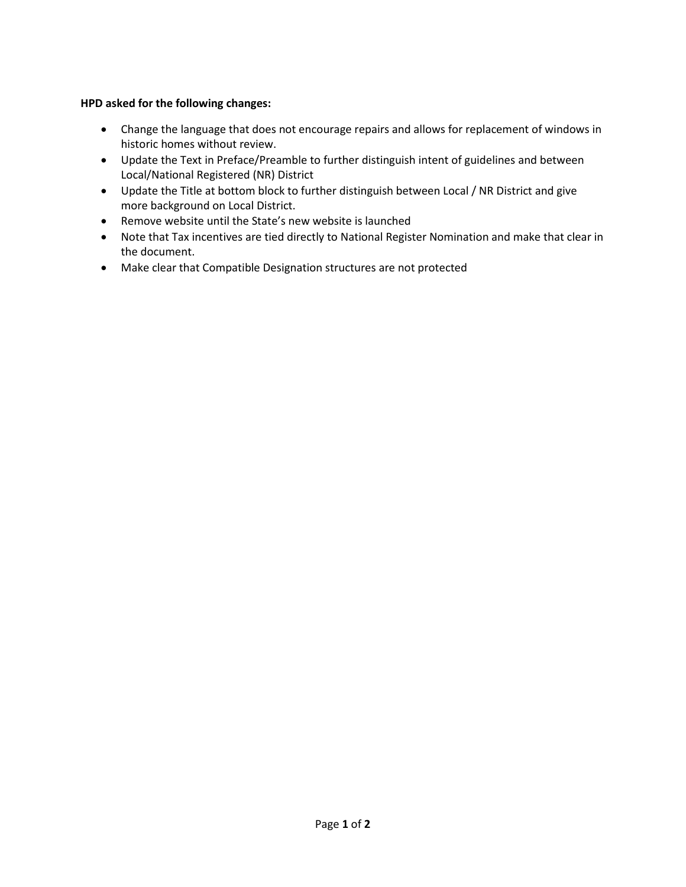## **HPD asked for the following changes:**

- Change the language that does not encourage repairs and allows for replacement of windows in historic homes without review.
- Update the Text in Preface/Preamble to further distinguish intent of guidelines and between Local/National Registered (NR) District
- Update the Title at bottom block to further distinguish between Local / NR District and give more background on Local District.
- Remove website until the State's new website is launched
- Note that Tax incentives are tied directly to National Register Nomination and make that clear in the document.
- Make clear that Compatible Designation structures are not protected